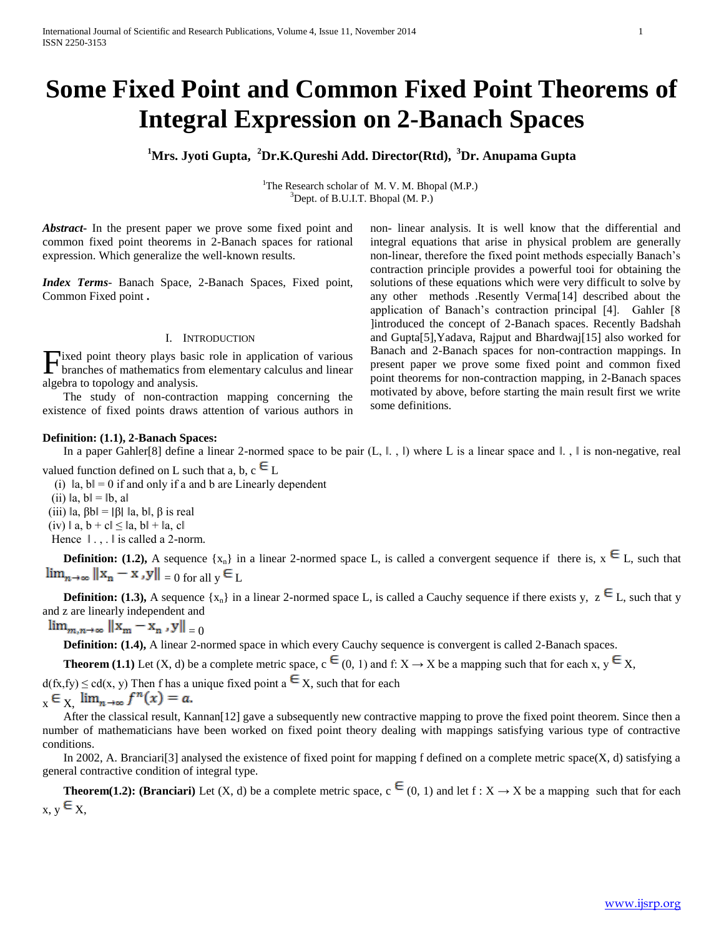# **Some Fixed Point and Common Fixed Point Theorems of Integral Expression on 2-Banach Spaces**

**<sup>1</sup>Mrs. Jyoti Gupta, <sup>2</sup>Dr.K.Qureshi Add. Director(Rtd), <sup>3</sup>Dr. Anupama Gupta**

<sup>1</sup>The Research scholar of M. V. M. Bhopal (M.P.) <sup>3</sup>Dept. of B.U.I.T. Bhopal (M. P.)

*Abstract***-** In the present paper we prove some fixed point and common fixed point theorems in 2-Banach spaces for rational expression. Which generalize the well-known results.

*Index Terms*- Banach Space, 2-Banach Spaces, Fixed point, Common Fixed point **.** 

#### I. INTRODUCTION

Fixed point theory plays basic role in application of various<br>branches of mathematics from elementary calculus and linear branches of mathematics from elementary calculus and linear algebra to topology and analysis.

 The study of non-contraction mapping concerning the existence of fixed points draws attention of various authors in

#### **Definition: (1.1), 2-Banach Spaces:**

In a paper Gahler[8] define a linear 2-normed space to be pair (L, l., l) where L is a linear space and l., l is non-negative, real

valued function defined on L such that a, b,  $c \in L$ 

(i)  $\|a, b\| = 0$  if and only if a and b are Linearly dependent

(ii)  $\|a, b\| = \|b, a\|$ 

(iii)  $\|a, \beta b\| = |\beta| \|a, b\|$ ,  $\beta$  is real

(iv)  $\|$  a,  $b + c \| \leq \|$ a,  $b \| + \|$ a, c

Hence  $\parallel$ .,  $\parallel$  is called a 2-norm.

**Definition:** (1.2), A sequence  $\{x_n\}$  in a linear 2-normed space L, is called a convergent sequence if there is,  $x \in L$ , such that  $\lim_{n\to\infty} ||x_n - x|, ||y|| = 0$  for all  $y \in L$ 

**Definition: (1.3),** A sequence { $x_n$ } in a linear 2-normed space L, is called a Cauchy sequence if there exists y,  $z \in L$ , such that y and z are linearly independent and

 $\lim_{m,n\to\infty} ||x_m - x_n, y||_{-\Omega}$ 

**Definition: (1.4),** A linear 2-normed space in which every Cauchy sequence is convergent is called 2-Banach spaces.

**Theorem (1.1)** Let (X, d) be a complete metric space,  $c \in (0, 1)$  and f:  $X \to X$  be a mapping such that for each x,  $y \in X$ ,

 $d(fx, fy) \leq cd(x, y)$  Then f has a unique fixed point  $a \in X$ , such that for each  $x \in X$   $\lim_{n \to \infty} f^{n}(x) = a.$ 

After the classical result, Kannan<sup>[12]</sup> gave a subsequently new contractive mapping to prove the fixed point theorem. Since then a number of mathematicians have been worked on fixed point theory dealing with mappings satisfying various type of contractive conditions.

In 2002, A. Branciari<sup>[3]</sup> analysed the existence of fixed point for mapping f defined on a complete metric space $(X, d)$  satisfying a general contractive condition of integral type.

**Theorem(1.2): (Branciari)** Let (X, d) be a complete metric space,  $c \in (0, 1)$  and let  $f : X \to X$  be a mapping such that for each  $x, y \in X$ 

non- linear analysis. It is well know that the differential and integral equations that arise in physical problem are generally non-linear, therefore the fixed point methods especially Banach's contraction principle provides a powerful tooi for obtaining the solutions of these equations which were very difficult to solve by any other methods .Resently Verma[14] described about the application of Banach's contraction principal [4]. Gahler [8 ]introduced the concept of 2-Banach spaces. Recently Badshah and Gupta[5],Yadava, Rajput and Bhardwaj[15] also worked for Banach and 2-Banach spaces for non-contraction mappings. In present paper we prove some fixed point and common fixed point theorems for non-contraction mapping, in 2-Banach spaces motivated by above, before starting the main result first we write some definitions.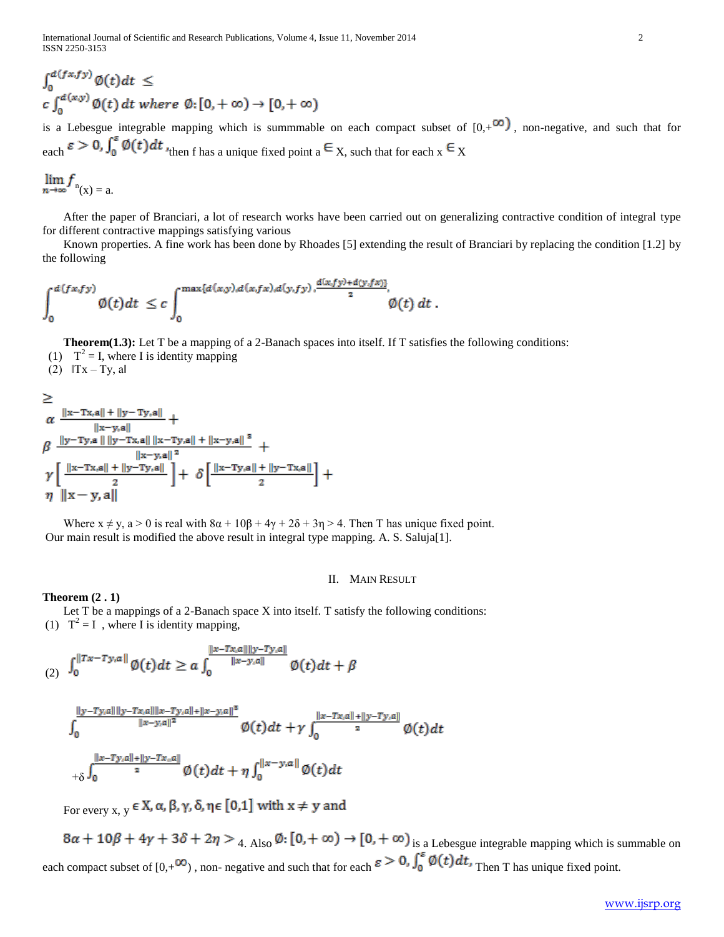$$
\int_0^{d(fx,fy)} \varphi(t) dt \leq
$$
  

$$
c \int_0^{d(x,y)} \varphi(t) dt \text{ where } \varphi: [0, +\infty) \to [0, +\infty)
$$

is a Lebesgue integrable mapping which is summmable on each compact subset of  $[0, +\infty)$ , non-negative, and such that for each  $\varepsilon > 0$ ,  $\int_0^{\varepsilon} \phi(t) dt$  then f has a unique fixed point  $a \in X$ , such that for each  $x \in X$ 

$$
\lim_{n\to\infty}f_{n(x)=a}.
$$

 After the paper of Branciari, a lot of research works have been carried out on generalizing contractive condition of integral type for different contractive mappings satisfying various

 Known properties. A fine work has been done by Rhoades [5] extending the result of Branciari by replacing the condition [1.2] by the following

$$
\int_0^{d(fx,fy)} \varnothing(t)dt \leq c \int_0^{\max\{d(x,y),d(x,fx),d(y,fy),\frac{d(x,fy)+d(y,fx)\}}{2}}, \varnothing(t) dt.
$$

**Theorem(1.3):** Let T be a mapping of a 2-Banach spaces into itself. If T satisfies the following conditions:

(1)  $T^2 = I$ , where I is identity mapping

(2)  $\|Tx - Ty\|$ , all

$$
\ge \alpha \frac{\|x-Tx,a\| + \|y-Ty,a\|}{\|x-y,a\|} + \\ \beta \frac{\|y-Ty,a\| \|y-Tx,a\| \|x-Ty,a\| + \|x-y,a\|^3}{\|x-y,a\|^2} + \\ \gamma \left[ \frac{\|x-Tx,a\| + \|y-Ty,a\|}{2} \right] + \delta \left[ \frac{\|x-Ty,a\| + \|y-Tx,a\|}{2} \right] + \\ \eta \left\|x-y,a\right\|
$$

Where  $x \neq y$ ,  $a > 0$  is real with  $8\alpha + 10\beta + 4\gamma + 2\delta + 3\eta > 4$ . Then T has unique fixed point. Our main result is modified the above result in integral type mapping. A. S. Saluja[1].

## II. MAIN RESULT

### **Theorem (2 . 1)**

 Let T be a mappings of a 2-Banach space X into itself. T satisfy the following conditions: (1)  $T^2 = I$ , where I is identity mapping,

$$
\int_0^{\|Tx-Ty,a\|} \emptyset(t)dt \ge a \int_0^{\frac{\|x-Tx,a\|\|y-Ty,a\|}{\|x-y,a\|}} \emptyset(t)dt + \beta
$$

$$
\int_0^{\frac{||y-Ty,a|| ||y-Tx,a|| ||x-Ty,a|| + ||x-y,a||^2}{||x-y,a||^2}} \emptyset(t) dt + \gamma \int_0^{\frac{||x-Tx,a|| + ||y-Ty,a||}{2}} \emptyset(t) dt
$$
  
+
$$
\delta \int_0^{\frac{||x-Ty,a|| + ||y-Tx,a||}{2}} \emptyset(t) dt + \eta \int_0^{||x-y,a||} \emptyset(t) dt
$$

For every  $x, y \in X$ ,  $\alpha, \beta, \gamma, \delta, \eta \in [0,1]$  with  $x \neq y$  and

 $8\alpha + 10\beta + 4\gamma + 3\delta + 2\eta > 4$ . Also  $\emptyset$ :  $[0, +\infty) \rightarrow [0, +\infty)$  is a Lebesgue integrable mapping which is summable on each compact subset of  $[0,+\infty)$ , non- negative and such that for each  $\varepsilon > 0$ ,  $\int_0^{\varepsilon} \phi(t) dt$ , Then T has unique fixed point.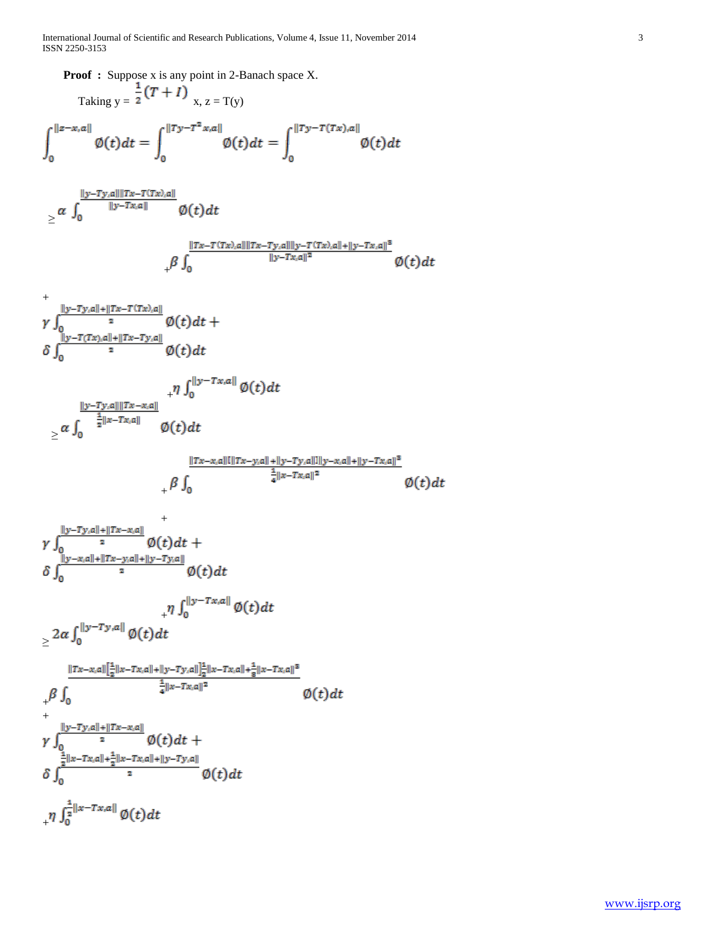International Journal of Scientific and Research Publications, Volume 4, Issue 11, November 2014 3 ISSN 2250-3153

**Proof :** Suppose x is any point in 2-Banach space X. Taking  $y = 2$  x,  $z = T(y)$  $\int_0^{||z-x,a||} \emptyset(t) dt = \int_0^{||Ty-T^2x,a||} \emptyset(t) dt = \int_0^{||Ty-T(Tx),a||} \emptyset(t) dt$  ≥  $+$ +  $+$  ≥  $\emptyset(t)dt$  $+$  $\gamma\int_{0}^{\frac{||y-Ty,a||+||Tx-x,a||}{2}}\phi(t)dt + \delta\int_{0}^{\frac{||y-x,a||+||Tx-y,a||+||y-Ty,a||}{2}}\phi(t)dt$  + ≥  $\frac{\|Tx-x,a\|\left[\frac{1}{2}\|x-Tx,a\|+\|y-Ty,a\|\right]\frac{1}{2}\|x-Tx,a\|+\frac{1}{8}\|x-Tx,a\|^3}{\frac{1}{4}\|x-Tx,a\|^2}$ 0  $\varnothing(t)dt$ + +  $_{+}\eta \int_{0}^{\frac{1}{2}||x-Tx,a||} \varphi(t) dt$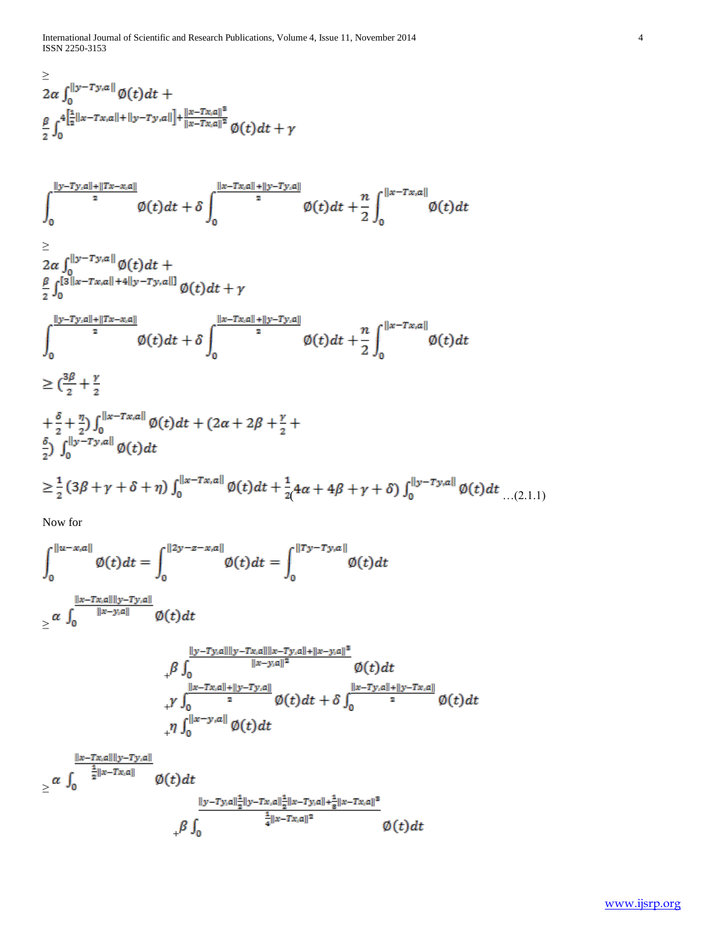International Journal of Scientific and Research Publications, Volume 4, Issue 11, November 2014 4 ISSN 2250-3153

$$
\leq
$$
\n
$$
2\alpha \int_0^{||y-Ty,a||} \emptyset(t)dt +
$$
\n
$$
\frac{\beta}{2} \int_0^4 \left[\frac{1}{2}||x-Tx,a||+||y-Ty,a||\right] + \frac{||x-Tx,a||^3}{||x-Tx,a||^2} \emptyset(t)dt + \gamma
$$

$$
\int_{0}^{\frac{||y-Ty,a||+||Tx-x,a||}{2}} \phi(t)dt + \delta \int_{0}^{\frac{||x-Tx,a||+||y-Ty,a||}{2}} \phi(t)dt + \frac{n}{2} \int_{0}^{||x-Tx,a||} \phi(t)dt
$$
\n
$$
\geq 2\alpha \int_{0}^{||y-Ty,a||} \phi(t)dt + \frac{\beta}{2} \int_{0}^{[3||x-Tx,a||+4||y-Ty,a||]} \phi(t)dt + \gamma
$$
\n
$$
\int_{0}^{\frac{||y-Ty,a||+||Tx-x,a||}{2}} \phi(t)dt + \delta \int_{0}^{\frac{||x-Tx,a||+||y-Ty,a||}{2}} \phi(t)dt + \frac{n}{2} \int_{0}^{||x-Tx,a||} \phi(t)dt
$$
\n
$$
\geq (\frac{3\beta}{2} + \frac{\gamma}{2})
$$
\n
$$
+ \frac{\delta}{2} + \frac{\gamma}{2} \int_{0}^{||x-Tx,a||} \phi(t)dt + (2\alpha + 2\beta + \frac{\gamma}{2} + \frac{\delta}{2}) \int_{0}^{||y-Ty,a||} \phi(t)dt
$$
\n
$$
\geq \frac{1}{2} (3\beta + \gamma + \delta + \eta) \int_{0}^{||x-Tx,a||} \phi(t)dt + \frac{1}{2} (4\alpha + 4\beta + \gamma + \delta) \int_{0}^{||y-Ty,a||} \phi(t)dt \dots (2.1.1)
$$

Now for

$$
\int_{0}^{||u-x,a||} \emptyset(t)dt = \int_{0}^{||2y-z-x,a||} \emptyset(t)dt = \int_{0}^{||Ty-Ty,a||} \emptyset(t)dt
$$
\n
$$
\geq \alpha \int_{0}^{\frac{||x-Tx,a||||y-Ty,a||}{||x-y,a||}} \emptyset(t)dt
$$
\n
$$
+ \beta \int_{0}^{\frac{||y-Ty,a||||y-Tx,a||||x-Ty,a||+||x-y,a||^{2}}{||x-y,a||^{2}}} \emptyset(t)dt
$$
\n
$$
+ \gamma \int_{0}^{\frac{||x-Tx,a||+||y-Ty,a||}{2}} \emptyset(t)dt + \delta \int_{0}^{\frac{||x-Ty,a||+||y-Tx,a||}{2}} \emptyset(t)dt
$$
\n
$$
+ \gamma \int_{0}^{||x-y,a||} \emptyset(t)dt
$$
\n
$$
\geq \alpha \int_{0}^{\frac{||x-Tx,a||||y-Ty,a||}{\frac{1}{2}||x-Tx,a||}} \emptyset(t)dt
$$

$$
\geq \alpha \int_0^{\frac{1}{2}||x-Tx,a||} \phi(t)dt
$$
  

$$
+ \beta \int_0^{\frac{||y-Ty,a||^{\frac{1}{2}}||y-Tx,a||^{\frac{1}{2}}||x-Ty,a||^{\frac{1}{2}}||x-Ty,a||^{\frac{1}{2}}}{\frac{1}{4}||x-Tx,a||^2}} \phi(t)dt
$$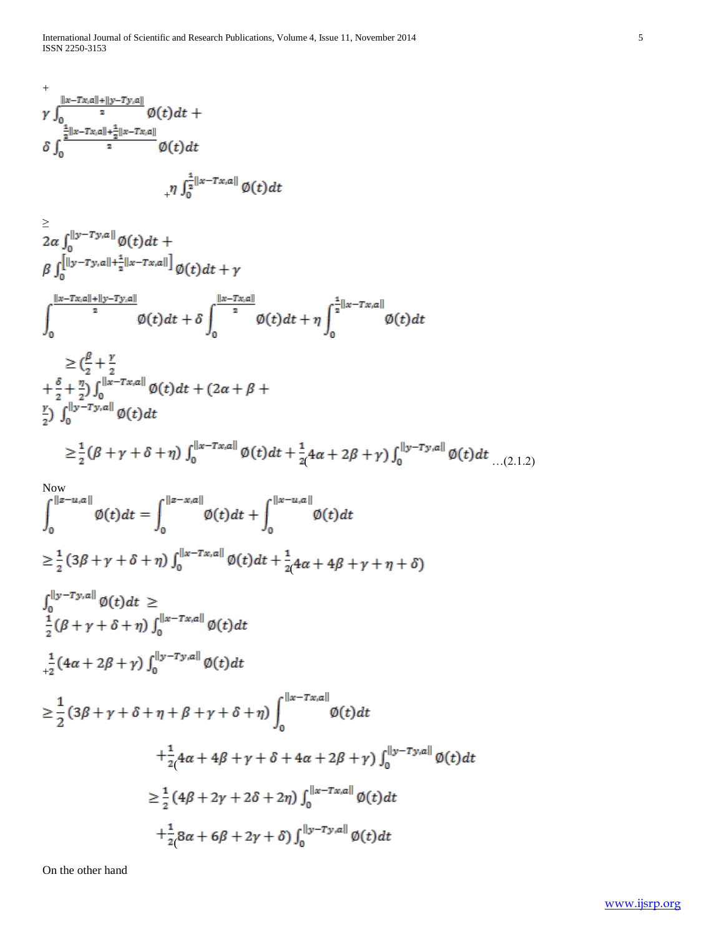$$
\int_{0}^{+\frac{||x-Tx,a||+||y-Ty,a||}{2}} \frac{\phi(t)dt}{\int_{0}^{\frac{1}{2}||x-Tx,a||} \frac{1}{2}dx-Tx,a||} \phi(t)dt
$$
\n
$$
\int_{0}^{\frac{1}{2}||x-Tx,a||+\frac{1}{2}||x-Tx,a||} \phi(t)dt
$$
\n
$$
\int_{0}^{\frac{||x-Tx,a||+||y-Ty,a||}{2}} \frac{\phi(t)dt}{\int_{0}^{\frac{||x-Tx,a||}{2}} \phi(t)dt + \gamma
$$
\n
$$
\int_{0}^{\frac{||x-Tx,a||+||y-Ty,a||}{2}} \frac{\phi(t)dt + \delta \int_{0}^{\frac{||x-Tx,a||}{2}} \phi(t)dt + \eta \int_{0}^{\frac{1}{2}||x-Tx,a||} \phi(t)dt
$$
\n
$$
\geq (\frac{\rho}{2} + \frac{\gamma}{2} + \frac{\delta}{2} + \frac{\eta}{2}) \int_{0}^{||x-Tx,a||} \phi(t)dt + (2\alpha + \beta + \frac{\gamma}{2}) \int_{0}^{||x-Tx,a||} \phi(t)dt
$$
\n
$$
\geq \frac{1}{2}(\beta + \gamma + \delta + \eta) \int_{0}^{||x-Tx,a||} \phi(t)dt + \frac{1}{2}4\alpha + 2\beta + \gamma) \int_{0}^{||y-Ty,a||} \phi(t)dt
$$
\n
$$
\geq \frac{1}{2}(\beta + \gamma + \delta + \eta) \int_{0}^{||x-Tx,a||} \phi(t)dt + \int_{0}^{||x-u,a||} \phi(t)dt
$$
\n
$$
\geq \frac{1}{2}(\beta + \gamma + \delta + \eta) \int_{0}^{||x-Tx,a||} \phi(t)dt + \frac{1}{2}4\alpha + 4\beta + \gamma + \eta + \delta)
$$
\n
$$
\int_{0}^{||y-Ty,a||} \phi(t)dt
$$
\n
$$
\geq \frac{1}{2}(3\beta + \gamma + \delta + \eta) \int_{0}^{||y-Ty,a||} \phi(t)dt
$$
\n
$$
\geq \frac{1}{2}(3\beta + \gamma + \delta + \eta + \beta + \gamma + \delta + \eta) \int_{0}^{||x-Tx,a||} \phi(t)dt
$$
\n
$$
\geq \frac{1}{
$$

On the other hand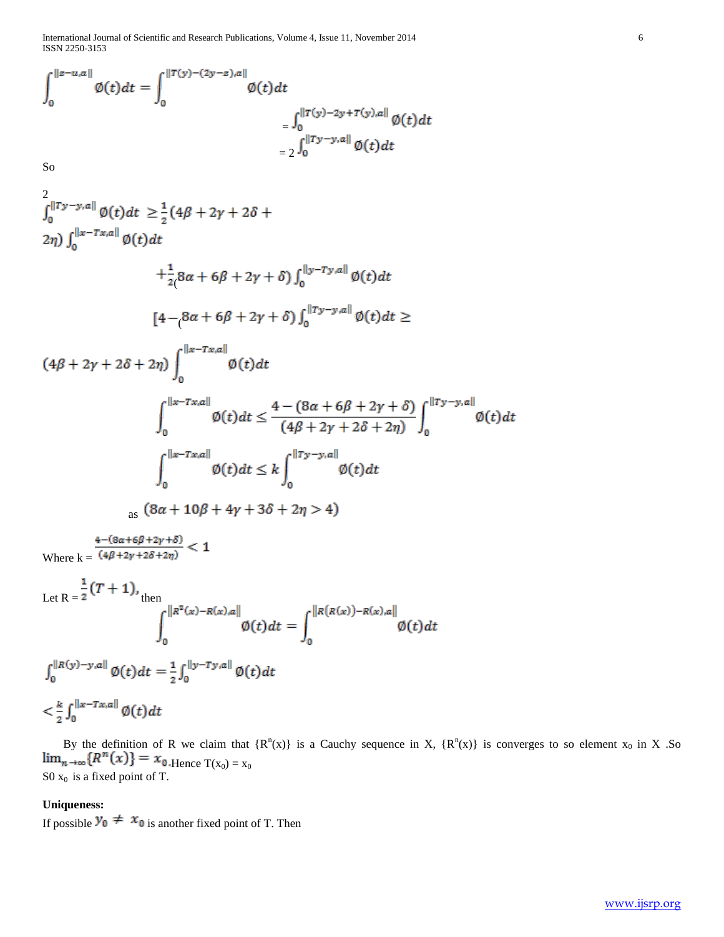International Journal of Scientific and Research Publications, Volume 4, Issue 11, November 2014 6 ISSN 2250-3153

$$
\int_0^{||z-u,a||} \emptyset(t)dt = \int_0^{||T(y)-(2y-z),a||} \emptyset(t)dt
$$
  
= 
$$
\int_0^{||T(y)-2y+T(y),a||} \emptyset(t)dt
$$
  
= 
$$
2 \int_0^{||Ty-y,a||} \emptyset(t)dt
$$

So

$$
\int_{0}^{||Ty-y,a||} \phi(t)dt \geq \frac{1}{2} (4\beta + 2\gamma + 2\delta + 2\eta) \int_{0}^{||x-Tx,a||} \phi(t)dt \n+ \frac{1}{2} (8\alpha + 6\beta + 2\gamma + \delta) \int_{0}^{||y-Ty,a||} \phi(t)dt \n[4 - (8\alpha + 6\beta + 2\gamma + \delta) \int_{0}^{||Ty-y,a||} \phi(t)dt \geq \n(4\beta + 2\gamma + 2\delta + 2\eta) \int_{0}^{||x-Tx,a||} \phi(t)dt \n+ \int_{0}^{||x-Tx,a||} \phi(t)dt \leq \frac{4 - (8\alpha + 6\beta + 2\gamma + \delta)}{(4\beta + 2\gamma + 2\delta + 2\eta)} \int_{0}^{||Ty-y,a||} \phi(t)dt \n+ \int_{0}^{||x-Tx,a||} \phi(t)dt \leq k \int_{0}^{||Ty-y,a||} \phi(t)dt \n= (8\alpha + 10\beta + 4\gamma + 3\delta + 2\eta > 4)
$$

Where  $k = \frac{4 - (8\alpha + 6\beta + 2\gamma + \delta)}{(4\beta + 2\gamma + 2\delta + 2\eta)} < 1$ 

Let 
$$
R = \frac{1}{2}(T + 1)
$$
,  
\n
$$
\int_{0}^{||R^{2}(x) - R(x), a||} \emptyset(t) dt = \int_{0}^{||R(R(x)) - R(x), a||} \emptyset(t) dt
$$
\n
$$
\int_{0}^{||R(y) - y, a||} \emptyset(t) dt = \frac{1}{2} \int_{0}^{||y - Ty, a||} \emptyset(t) dt
$$
\n
$$
< \frac{k}{2} \int_{0}^{||x - Tx, a||} \emptyset(t) dt
$$

By the definition of R we claim that  ${R^n(x)}$  is a Cauchy sequence in X,  ${R^n(x)}$  is converges to so element  $x_0$  in X .So Hence  $T(x_0) = x_0$  $SO x_0$  is a fixed point of T.

## **Uniqueness:**

If possible  $y_0 \neq x_0$  is another fixed point of T. Then